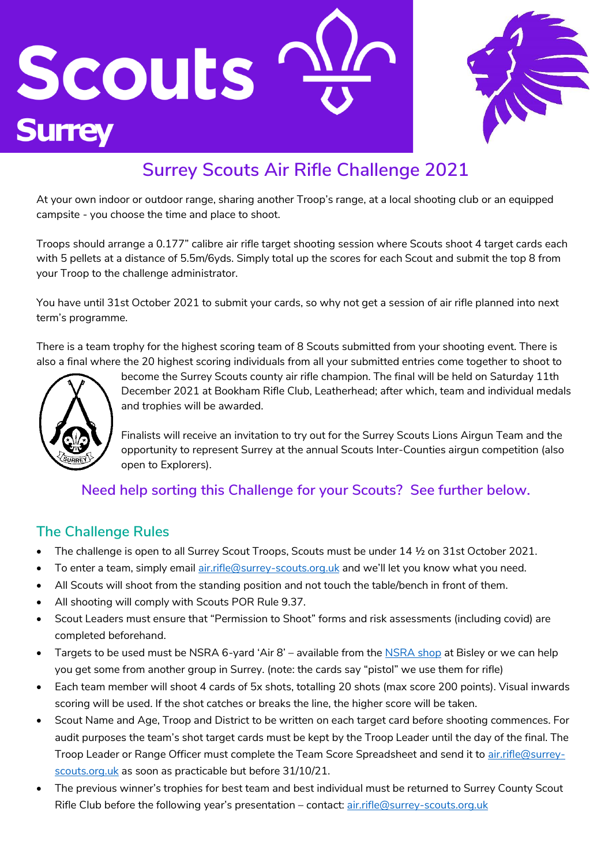



# **Surrey Scouts Air Rifle Challenge 2021**

At your own indoor or outdoor range, sharing another Troop's range, at a local shooting club or an equipped campsite - you choose the time and place to shoot.

Troops should arrange a 0.177" calibre air rifle target shooting session where Scouts shoot 4 target cards each with 5 pellets at a distance of 5.5m/6yds. Simply total up the scores for each Scout and submit the top 8 from your Troop to the challenge administrator.

You have until 31st October 2021 to submit your cards, so why not get a session of air rifle planned into next term's programme.

There is a team trophy for the highest scoring team of 8 Scouts submitted from your shooting event. There is also a final where the 20 highest scoring individuals from all your submitted entries come together to shoot to



become the Surrey Scouts county air rifle champion. The final will be held on Saturday 11th December 2021 at Bookham Rifle Club, Leatherhead; after which, team and individual medals and trophies will be awarded.

Finalists will receive an invitation to try out for the Surrey Scouts Lions Airgun Team and the opportunity to represent Surrey at the annual Scouts Inter-Counties airgun competition (also open to Explorers).

## **Need help sorting this Challenge for your Scouts? See further below.**

## **The Challenge Rules**

- The challenge is open to all Surrey Scout Troops, Scouts must be under 14 ½ on 31st October 2021.
- To enter a team, simply email [air.rifle@surrey-scouts.org.uk](mailto:air.rifle@surrey-scouts.org.uk) and we'll let you know what you need.
- All Scouts will shoot from the standing position and not touch the table/bench in front of them.
- All shooting will comply with Scouts POR Rule 9.37.
- Scout Leaders must ensure that "Permission to Shoot" forms and risk assessments (including covid) are completed beforehand.
- Targets to be used must be NSRA 6-yard 'Air 8' available from th[e NSRA shop](https://www.nsrashop.co.uk/products/nsra-air-8-targets?_pos=1&_sid=f1c8ffb3a&_ss=r) at Bisley or we can help you get some from another group in Surrey. (note: the cards say "pistol" we use them for rifle)
- Each team member will shoot 4 cards of 5x shots, totalling 20 shots (max score 200 points). Visual inwards scoring will be used. If the shot catches or breaks the line, the higher score will be taken.
- Scout Name and Age, Troop and District to be written on each target card before shooting commences. For audit purposes the team's shot target cards must be kept by the Troop Leader until the day of the final. The Troop Leader or Range Officer must complete the Team Score Spreadsheet and send it t[o air.rifle@surrey](mailto:air.rifle@surrey-scouts.org.uk)[scouts.org.uk](mailto:air.rifle@surrey-scouts.org.uk) as soon as practicable but before 31/10/21.
- The previous winner's trophies for best team and best individual must be returned to Surrey County Scout Rifle Club before the following year's presentation - contact[: air.rifle@surrey-scouts.org.uk](mailto:air.rifle@surrey-scouts.org.uk)